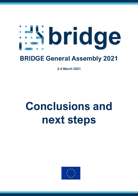# **Espridge**

# **BRIDGE General Assembly 2021**

**2-4 March 2021**

# **Conclusions and next steps**

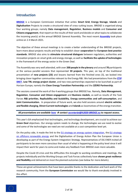# **Introduction**

**[BRIDGE](https://www.h2020-bridge.eu/)** is a European Commission initiative that unites **Smart Grid**, **Energy Storage**, **Islands** and **Digitalisation** Projects to create a structured view of cross-cutting issues. BRIDGE is organised along four working groups; namely **Data management**, **Regulation**, **Business models** and **Consumer and Citizens engagement**, that report on the results of their work and decide on what topics to collaborate the incoming year(s) at the annual BRIDGE General Assembly. The most recent **[Assembly](https://www.h2020-bridge.eu/2021-bridge-general-assembly-takes-place-on-march-2nd-3rd-and-4th/)** took place online on 2-4 March 2021.

The objective of these annual meetings is to create a better understanding of the BRIDGE projects, learn more about projects results and help to establish closer **cooperation** for **European best practice standards**. BRIDGE also aims to **stimulate structured dialogues** between regulators, authorities and innovation projects on smart grids and energy storage, as well as **facilitate the uptake of technologies** in the framework of the energy sector in the Green Deal.

The Assembly was very well attended, with over **200 people in the plenary** and around **70** participants at the various parallel sessions that represented **59 projects**. This year, on top of the traditional presentation of **new projects (23)** and lessons learned from the finished ones (3), we looked into bringing closer together communities relevant to the Energy R&I. We had presentations from the **[ETIP](https://www.etip-snet.eu/)  [SNET](https://www.etip-snet.eu/)**, **Low TRL energy project cluster**, and two new partnerships expected to be launched as part of Horizon Europe, namely the **Clean Energy Transition Partnership** and the **2ZERO Partnership**.

The sessions covered the work of the 4 working groups that BRIDGE has. Namely, **Data Management**, **Regulation**, **Consumer and Citizen engagement** and **Business models**, as well as results of the Task Forces **R&I priorities**, **Replicability and Scalability**, **Energy communities and self-consumption**, and **Joint Communication.** In preparation of future work, we also held sessions around **electric vehicles and flexible charging**, **Direct Current technologies** and **Islands** as locomotives of the energy transition.

#### *All presentations are availabl[e here](https://teams.microsoft.com/_#/files/General?threadId=19%3Aa1b72e9659f54a209cee370225f805ae%40thread.tacv2&ctx=channel&context=2021%2520GENERAL%2520ASSEMBLY&rootfolder=%252Fsites%252FBRIDGE%252FDocumentos%2520compartidos%252FGeneral%252F2021%2520GENERAL%2520ASSEMBLY)* → *contac[t secretariat@h2020-BRIDGE.eu](mailto:secretariat@h2020-bridge.eu) to request access.*

This year's GA emphasized that technologies, and technology development, are crucial to achieve our **Green Deal** objectives. Our energy system needs to change, the technologies we use need to evolve and some of the technologies we need are not available at a cost-competitive level yet.

On the policy side, it made the link to the [EU strategy on energy system integration,](https://ec.europa.eu/energy/topics/energy-system-integration/eu-strategy-energy-system-integration_en) the EU strategy [on offshore renewable energy](https://ec.europa.eu/energy/topics/renewable-energy/eu-strategy-offshore-renewable-energy_en) and the Digitalisation of Energy Action Plan the European Union is developing as part of the Energy System Integration Strategy. Representatives of DG ENER invited all participants to be even more conscious than usual of what is happening at the policy level since it will impact their work for years to come and makes any feedback from BRIDGE even more valuable.

Despite the Covid-19 crisis and the difficulties this brought to working conditions and meetings, the projects individually and the Working Groups and Task Forces collectively have **shown great resilience and flexibility** and delivered on most the planned outcomes (see below for more details).

These are great achievements that have been possible thanks to the dedication and hard work of the research community; from the **European Commission** we would like to thank everybody involved in this effort.

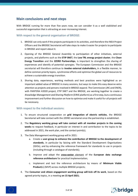# **Main conclusions and next steps**

With BRIDGE running for more than five years now, we can consider it as a well stablished and successful organisation that is attracting an ever-increasing interest.

#### With respect to the general organisation of BRIDGE:

- 1. BRIDGE can only work if the projects participate in its activities, and therefore the INEA Project Officers and the BRIDGE Secretariat will take steps to make it easier for projects to participate in BRIDGE and report about it.
- 2. Opening of the BRIDGE General Assembly to participation of other initiatives, external projects, and platforms such as the **ETIP SNET**, the **Low TRL energy project cluster**, the **Clean Energy Transition** and the **2ZERO Partnerships**, is important to strengthen the sharing of experiences and identify of potential synergies. The European Commission and the BRIDGE secretariat will therefore continue to **involve external stakeholders,** in a flexible manner, to define common priority topics, synchronise efforts and optimise the global use of resources to achieve a sustainable energy transition.
- 3. Sharing data, experiences, working methods and best practices were highlighted as an important added value of BRIDGE in many sessions, but ways to make this easy deserve extra attention as projects and persons involved in BRIDGE expand. The Commission (JRC and ENER), with PANTERA H2020 project, ETIP SNET and the BRIDGE, are working together to create a *Knowledge Management and Sharing Platform* (EIRIE platform) as a first step, but a continuous improvement and further discussion on how to optimise and make it useful for all projects will be necessary.

#### With respect to the individual sessions:

- 1. To ensure structured cooperation on **grid integration of electric vehicles**, the BRIDGE Secretariat will take contact with the 2ZERO secretariat once the partnership is established.
- 2. The **Regulatory working group will take contact with all member projects in the coming weeks** to request feedback, in particular on interest in and contribution to the topics to be addressed in 2021, the work plan, and the contact point(s);
- 3. The Data Management working group will in 2021:
	- a. Create a **user-group to enhance the contribution of BRIDGE to the development of standards**, in particular by liaising with the Standard Development Organisations (SDOs), and by enhancing the reference framework for standards to use in projects (including through a catalogue of standards);
	- b. Improve and adapt the **cross-sector** element of the **European data exchange reference architecture** for practical implementation;
	- c. Implement and test the reference architecture by means of **Minimum Viable Product**(s) (MVP) across multiple BRIDGE projects;
- 4. The **Consumer and citizen engagement working group will kick off its work**, based on the agreed priority topics, in a meeting **on 15 April 2021**;



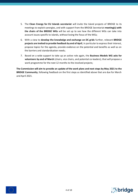- 5. The **Clean Energy for EU Islands secretariat** will invite the Island projects of BRIDGE to its meetings to exploit synergies, and with support from the BRIDGE Secretariat **meeting(s) with the chairs of the BRIDGE WGs** will be set up to see how the different WGs can take into account issues specific to islands, without losing the focus of the WGs;
- 6. With a view to **develop the knowledge and exchange on DC grids** further, relevant **BRIDGE projects are invited to provide feedback by end of April**, in particular to express their interest, propose topics for the agenda, provide evidence on the potential and benefits as well as on the barriers and standardisation needs;
- 7. Based on a wide support to take up an active role again, the **Business Models WG asks for volunteers by end of March** (chairs, vice chairs, and potential co-leaders), that will propose a work programme for the next 12 months to the involved projects;

**The Commission will aim to provide an update of the work plans and next steps by May 2021 to the BRIDGE Community**, following feedback on the first steps as identified above that are due for March and April 2021.

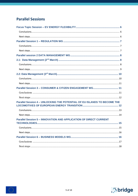# **Parallel Sessions**

| Parallel Session 3 - CONSUMER & CITIZEN ENGAGEMENT WG 11                 |
|--------------------------------------------------------------------------|
|                                                                          |
|                                                                          |
| Parallel Session 4 - UNLOCKING THE POTENTIAL OF EU ISLANDS TO BECOME THE |
|                                                                          |
|                                                                          |
| <b>Parallel Session 5 - INNOVATION AND APPLICATION OF DIRECT CURRENT</b> |
|                                                                          |
|                                                                          |
|                                                                          |
|                                                                          |
|                                                                          |
|                                                                          |



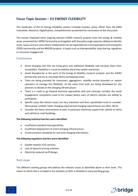# <span id="page-5-0"></span>**Focus Topic Session – EV ENERGY FLEXIBILITY**

The moderator of the EV Energy Flexibility session Cristobal Irazoqui, policy officer from DG ENER Innovation, Research, Digitalisation, Competitiveness presented the conclusions of this discussion.

The session displayed some ongoing relevant H2020 research projects from the energy & mobility areas, presented the 2ZERO Partnership and together with the policy angle opened a debate to identify areas, topics and use cases where collaboration can be expanded; be it among projects and among the 2ZERO partnership and the BRIDGE projects, in topics such as interoperability, data sharing, regulation or consumer engagement.

#### <span id="page-5-1"></span>Conclusions

- Smart charging and V2G can bring gains and additional flexibility and increase share from renewables. Flexibility is crucial to stabilize electricity system and prices;
- Avoid divergencies in the work of the Energy & Mobility research projects and the 2ZERO partnership and try to converge where overlapping exists;
- Tools are being provided for consumers, aggregators, mobility service providers or system operators to manage this flexibility. At the same time tools are being developed for city planners to decide on the charging infrastructure;
- There is a need to go beyond technical approaches only and seriously consider the social engagement; ecosystems need to be created where users of electric vehicles are willing to participate;
- Specific cases like electric buses are very important and their specificities need to consider. More power needed, faster charging required and charging requirements are often 24/24;
- Consider the home environment as well, in particular electricity supply from vehicle to home and vehicle to small buildings;

#### **The following technical barriers were identified:**

- insufficient standard interoperability;
- Insufficient deployment of smart charging infrastructure;
- Communication standards for real time charging information;

#### **The following regulatory barriers were identified:**

- Double taxation V2G services;
- Lack of dynamic pricing schemes;
- Electricity network tariff design;

#### <span id="page-5-2"></span>Next steps

The different working groups will address the relevant issues as identified above in their work. The extent to which this is included in the activities of 2021 is detailed in every working group.

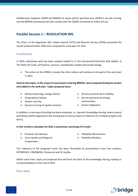Collaboration between 2ZERO and BRIDGE on topics will be specified once 2ZERO is up and running, and the BRIDGE Secretariat will take contact with the 2ZERO secretariat to follow this up.

# <span id="page-6-0"></span>**Parallel Session 1 – REGULATION WG**

The Chairs of the Regulation WG, Helena Gerard (VITO) and Manolo Serrano (ETRA) presented the results achieved within 2020 and a proposal for work plan for 2021.

#### <span id="page-6-1"></span>**Conclusions**

In 2020, substantial work has been realized related to 1) The Harmonized Electricity Role Model, 2) The Demo ID-Cards, 3) Products, services, coordination models and market design.

• The action on the HERM is closed, the other actions will continue to be part of the work plan in 2021.

**Several new topics, in the scope of new projects entering BRIDGE, were proposed during the session and added to the work plan. Topics proposed were:**

- Network planning, energy islands;
- Geographical islands;
- System security;
- Dynamic pricing of system services;
- Service provision by E-mobility;
- Service provision by energy communities;
- Sector integration;

In addition, a new way of working has been proposed, i.e., dynamic knowledge sharing, where several workshops will be organized in the coming year to discuss topics of relevance for multiple projects and the EC.

#### **In this context a workplan for 2021 is presented, consisting of 4 tracks:**

- Products and Services;
- Cross-border and Regional Cooperation;
- Flexibility Mechanisms;
- Flexibility Markets;

The relevancy of the proposed tracks has been illustrated by presentations from four projects: INTERRFACE, CROSSBOW, EUniversal and EU-Sysflex.

Within each track, topics are proposed that will form the basis of the knowledge sharing, leading to recommendations at the end of 2021.

#### <span id="page-6-2"></span>Next steps

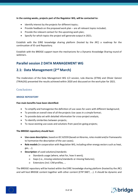**In the coming weeks, projects part of the Regulator WG, will be contacted to:**

- Identify interest by the projects for different topics;
- Provide feedback on the proposed work plan are all relevant topics included;
- Provide the relevant contact for the upcoming work plan;
- Specify for which topics the project will generate output in 2021;

Establish with the EIRIE knowledge sharing platform (hosted by the JRC) a roadmap for the continuation of ID card Repository.

Establish with the BRIDGE support team the mechanisms for a Dynamic Knowledge Sharing round of webinars.

### <span id="page-7-0"></span>**Parallel session 2 DATA MANAGEMENT WG**

# <span id="page-7-1"></span>**2.1: Data Management (2nd March)**

The moderators of the Data Management WG 1/2 session, Lola Alacreu (ETRA) and Olivier Genest (TRIALOG) presented the results achieved within 2020 and discussed on the work plan for 2021.

#### <span id="page-7-2"></span>**Conclusions**

#### **BRIDGE REPOSITORY**

#### **Five main benefits have been identified:**

- To simplify and homogenise the definition of use cases for users with different background;
- To provide an overall view of all the projects Use cases in a simple format;
- To provide data set with detailed information for cross-project analysis;
- To identify similarities between projects;
- To reuse existing use-cases and solutions from past/on-going projects;

#### **The BRIDGE repository should host:**

- **Use-cases description**, based on IEC 62559 (based on libraries, roles model and/or frameworks to harmonize the description of the use-cases);
- **Role models** (in cooperation with Regulation WG, including other energy vectors such as heat, gas, …);
- **Description** of used solutions/standards:
	- o Standards usage (where, what for, how it went);
	- o Gaps (i.e., missing solutions/standards or missing features);
	- o Extensions (incl. CIM profiles, …

The BRIDGE repository will be hosted within the EIRIE knowledge sharing platform (hosted by the JRC) and will host BRIDGE content together with other content (ETIP SNET, …). It should be dynamic and

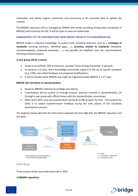interactive, and ideally support automated post-processing of the provided data to update the outputs.

The BRIDGE repository will be managed by SPRING (the tender providing among other secretariat of BRIDGE) and hosted by the JRC. It will be open to external stakeholder.

#### **MANAGEMENT OF THE CONTRIBUTIONS FROM BRIDGE PROJECTS TO STANDARDISATION**

BRIDGE builds a collective knowledge, at system level, including outcomes such as a **catalogue of standards** (existing solutions, identified gaps, …), **practices related to standards** (feedback, recommendations, proposed extensions, …), and possibly the feedback from the industrialization following finished projects.

#### **A user-group will be created:**

- Scope to be defined: CIM at minimum, possibly "Smart Energy Standards" in general;
- Its purpose is to train, share knowledge and provide support on the use of specific standards (e.g., CIM), and collect feedback and proposed modifications;
- It will be hosted within BRIDGE and might be migrated outside BRIDGE in a  $2^{nd}$  step;

#### **BRIDGE will contribute to standardisation:**

- Based on BRIDGE collective knowledge (see above);
- Contributions will be pushed (1) through projects' partners involved in standardization; (2) through a user group with official liaison with the standardization committees;
- Note: Some SDOs may also provide draft standards to R&I projects for free the purpose for SDOs is to collect implementation feedback during the early phases of the standards development process;

The diagrams below describe the interactions between the Data Mgt WG, the BRIDGE repository and the SDOs:



#### <span id="page-8-0"></span>Next steps

Three actions will be launched/continued in 2021:

#### **1) BRIDGE repository:**



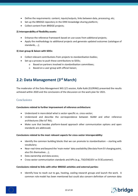- Define the requirements: content, inputs/outputs, links between data, processing, etc;
- Set-up the BRIDGE repository in the EIRIE knowledge sharing platform;
- Collect content from BRIDGE projects;

#### **2) Interoperability of flexibility assets:**

- Enhance the reference framework based on use-cases from additional projects;
- Apply the methodology to additional projects and generate updated outcomes (catalogue of standards, …);

#### **3) User group & liaison with SDOs:**

- Collect relevant contributions from projects to standardisation bodies;
- Set-up a process to push these contributions to SDOs;
	- o Based on partners involved in standardisation committees;
	- o Based on a user group with official liaison;

# <span id="page-9-0"></span>**2.2: Data Management (3rd March)**

The moderator of the Data Management WG 2/2 session, Kalle Kukk (ELERING) presented the results achieved within 2020 and the conclusions of the discussion on the work plan for 2021.

#### <span id="page-9-1"></span>**Conclusions**

#### **Conclusions related to further improvement of reference architecture:**

- Understand in more detail what is sector-specific vs. cross-sector;
- Understand and describe the correspondence between SGAM and other reference architectures (like IoT RA);
- Make sure that besides platform-based approach other communication options and open standards are addressed;

#### **Conclusions related to the most relevant aspects for cross-sector interoperability:**

- Identify the common building blocks that we can promote to standardisation starting with vocabulary;
- Near-real-time and beyond the 'main meter' data availability (like data from EV charging point, also EVs themselves …);
- Data ownership and data access;
- Cross-sector communication standards and APIs (e.g., TSO/DSO2EV vs EV2Customer);

#### **Conclusions related to links with other BRIDGE activities and external parties:**

• Identify how to reach out to gas, heating, cooling research groups and launch the work. A common role model has been mentioned but could also concern definition of common data

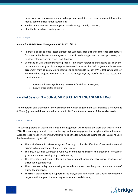business processes, common data exchange functionalities, common canonical information model, common data semantics/profiles;

- Similar should concern non-energy sectors buildings, health, transport;
- Identify the needs of islands' projects;

#### <span id="page-10-0"></span>Next steps

#### **Actions for BRIDGE Data Management WG in 2021/2022:**

- Improve and adapt cross-sector element for European data exchange reference architecture for practical implementation – agnostic to specific technologies and business processes, link to other reference architectures and standards;
- By means of MVP (minimum viable product) implement reference architecture based on the recommendations given in the report. Between interested BRIDGE projects – this assumes agreement from at least 2-3 projects willing to participate in such MVP. Best candidates for MVP would be projects which focus on data exchange anyway, specifically across sectors and country borders;
	- o *Already volunteering: Platone, OneNet, BD4NRG, ebalance-plus;*
	- o *Ensure cross-sector element;*

# <span id="page-10-1"></span>**Parallel Session 3 – CONSUMER & CITIZEN ENGAGEMENT WG**

The moderator and chairman of the Consumer and Citizen Engagement WG, Stanislas d'Herbemont (REScoop), presented the results achieved within 2020 and the conclusions of the parallel session.

#### <span id="page-10-2"></span>**Conclusions**

The Working Group on Citizen and Consumer Engagement will continue the work that was started in 2020. The working group will focus on the exploration of engagement strategies and techniques for European R&I project. The Working Group will tackle the following gaps during the year 2021 and until the General Assembly in 2022:

- The socio-Economic drivers subgroup focusing on the identification of key environmental drivers to build engagement strategies for projects;
- The group building subgroup is working on methods to support the creation of consumer groups and the structuring of group dynamics;
- The governance subgroup is looking a organisational forms and governance principles for citizen-led organisations;
- The assessment subgroup is looking at the indicators to assess the growth and maturation of citizen-led initiatives;
- The smart tools subgroup is supporting the analysis and collection of tools being developed by projects with the goal of interacting for consumers and citizens;

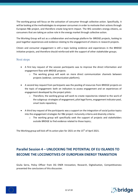The working group will focus on the activation of consumer through collective action. Specifically, it will be looking at the methodologies to empower consumers in order to motivate their actions through European R&I project, and therefore create long term impact. The WG considers energy citizens, as consumers that are taking an active role in the energy market through collective action.

The Working Group will act as a collaboration and exchange platform for BRIDGE projects, looking to pool together experiences and evidence relating to the engagement of citizens in research projects.

Citizen and consumer engagement is still a topic lacking evidence and experiences in the BRIDGE initiative projects, and therefore should reinforced with the support of other stakeholder groups.

#### <span id="page-11-0"></span>Next steps

- A first key request of the session participants was to improve the direct information and engagement flow with BRIDGE projects:
	- $\circ$  The working group will work on more direct communication channels between projects (webinar, communication platform);
- A second key request from participants was the pooling of resources from BRIDGE projects on the topic of engagement: both on indicators to assess engagement and on experiences of engagement developed by the project pilots:
	- $\circ$  Therefore, the working group will work to create repositories related to the work of the subgroup: strategies of engagement, pilot legal forms, engagement indicator pool, smart tools repository;
- A third key request of the participants was a support on the integration of social justice topics into the engagement strategies for R&I project: inclusivity criteria and diversity criteria:
	- o The working group will specifically seek the support of projects and stakeholders outside BRIDGE to find evidence related to those topics;

The Working group will kick off its action plan for 2021 on the 15<sup>th</sup> of April 2021.

# <span id="page-11-1"></span>**Parallel Session 4 – UNLOCKING THE POTENTIAL OF EU ISLANDS TO BECOME THE LOCOMOTIVES OF EUROPEAN ENERGY TRANSITION**

Giulia Serra, Policy Officer from DG ENER Innovation, Research, Digitalisation, Competitiveness presented the conclusions of this discussion.

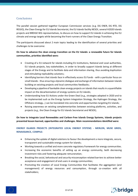#### <span id="page-12-0"></span>**Conclusions**

The parallel session gathered together European Commission services (e.g. DG ENER, DG RTD, DG REGIO), the Clean Energy for EU Islands Secretariat, the EU Islands facility NESOI, several H2020 Islands projects and BRDIGE WG representatives, to discuss on how to support EU islands in achieving the EU climate and energy targets while becoming the front-runners of the Clean Energy Transition.

The participants discussed about 2 main topics leading to the identification of several priorities and challenges to be overcome:

#### **On how to advance the clean energy transition on the EU Islands: a renewable future for Islands communities, priorities identified were:**

- Creating of a EU network for islands including EU institutions, National and Local authorities, EU Islands projects, key stakeholders, in order to broadly support Islands being at different stages of the Energy and to facilitate data and information sharing, thus avoiding duplication and stimulating replicability solutions;
- Identifying barriers that islands face in effectively access EU funds with a particular focus on small Islands - thus ensuring a dynamic dialogue and exchange of information between Islands building on existing projects and local communities feedbacks;
- Developing a pipeline of bankable clean energy projects on islands that results in a quantifiable impact on the decarbonisation of energy systems on EU islands;
- Understanding how EU Actions under the Green Deal (e.g., strategies adopted in 2020 and to be implemented such as the Energy System Integration Strategy, the Hydrogen Strategy, the Offshore strategy…) can be translated into concrete and opportunities targeting EU islands;
- Raising awareness on existing complementarities between existing platforms, activities, and projects (e.g., the Clean Energy for EU Islands Secretariat and NESOI);

**On how to Integrate Local Renewables and Carbon-Free Islands Energy Systems, Islands projects presented lesson learned, opportunities and challenges. Main recommendations identified were:**

#### **ENERGY ISLANDS PROJECTS (INTEGRATED LOCAL ENERGY SYSTEM) - MERLON, MUSE GRIDS, RENAISSANCE, COMPILE:**

- Enhancing the uptake of digital solutions to favour the development a more integrate, secure, transparent and sustainable energy system for islands;
- Working towards a unified and more concrete regulatory framework for energy communities.
- Increasing the economic benefits of setting up an energy community, both decreasing investment risks and fostering adequate remuneration;
- Breaking the social, behavioural and security misconception related barriers to achieve better acceptance and engagement of end users in energy communities;
- Promoting the creation of Local Energy Communities that facilitates the aggregation (and management) of energy resources and consumption, through co-creation with all stakeholders;



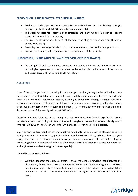#### **GEOGRAPHICAL ISLANDS PROJECTS - SMILE, INSULAE, ISLANDER:**

- Establishing a clear participatory process for the stakeholders and consolidating synergies among projects (through BRIDGE and other common events);
- ii) developing tools for energy Islands strategies and planning and in order to support thoughtful, worthwhile investments;
- Stimulating a closer dialogue between all the actors operating on islands and along the entire energy value chain;
- Extending the knowledge from islands to other scenarios (cross-sector knowledge sharing).
- Involving DSOs, along with regulators since the early stage of the projects;

#### **HYDROGEN IN EU ISLANDS (FUEL CELLS AND HYDROGEN JOINT UNDERTAKING):**

• Increasing EU Islands communities' awareness on opportunities for and impact of hydrogen technologies deployment to contribute to effective and efficient achievement of the climate and energy targets of the EU and its Member States.

#### <span id="page-13-0"></span>Next steps

Most of the challenges islands are facing in their energy transition journey can be defined as crosscutting and cross-sectorial challenges (e.g. data access and data interoperability between projects and along the value chain, continuous capacity building & experience sharing, common repository replicability and scalability solutions to push forward the innovation agenda while avoiding duplication, a clear regulatory framework for energy communities, …). The majority of them are among the main discussion points of the already existing BRIDGE WGs.

Secondly, priorities listed above are among the main challenges the Clean Energy for EU Islands secretariat aims at overcoming with its activities, and synergies in cooperation between Island projects involved in BRIDGE and the Clean Energy for EU Islands secretariat need to be exploited.

In particular, the interaction between the initiatives would help the EU islands secretariat in achieving its objectives while also addressing specific challenges in the BRIDGE WGs agenda (e.g., increasing the engagement rate by creating a common space, a common repository and a dynamic dialogues; addressing policy and regulatory barriers to clean energy transition through a co-creation approach, pushing forward the clean energy innovation agenda).

This will be organised as follows:

• With the support of the BRIDGE secretariat, one or more meetings will be set up between the Clean Energy for EU Islands secretariat and BRIDGE WGs chairs, in the coming weeks, to discuss how the challenges related to specificities of EU Islands can be included in the WG activities and how to structure future collaboration, while ensuring that the WGs focus on their main tasks;



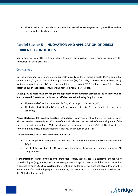• The BRIDGE projects on Islands will be invited to the forthcoming events organised by the clean energy for EU islands secretariat;

# <span id="page-14-0"></span>**Parallel Session 5 – INNOVATION AND APPLICATION OF DIRECT CURRENT TECHNOLOGIES**

Mario Dionisio, from DG ENER Innovation, Research, Digitalisation, Competitiveness presented the conclusions of this discussion.

#### <span id="page-14-1"></span>**Conclusions**

On the generation side, many assets generate directly in DC or need a single DC/AC or double conversion AC/DC/AC to satisfy the AC grid requisites (PV, fuel cells, batteries, wind turbines, etc.). Similarly, many loads are DC-based or need the conversion AC/DC for functioning (electrolyser, batteries, super capacitors, consumer and home electronic devices, etc.).

#### **DC can provide more flexibility for grid management and can provide services to the AC grid to which it is connected. Therefore, the increased efficiency obtained using DC grids is due to:**

- The removal of double conversion AC/DC/AC or singe conversion AC/DC;
- The higher flexibility that DC provide (e.g., in data centres,  $8 11\%$  increased efficiency can be achieved);

**Power Electronics (PE) is a key enabling technology.** It is present at all voltage levels and, for each, with its peculiar characteristics. PE is one of the main elements at the basis of the development of the converters and renewables. Wide band gap-based power electronics (SiC, GaN) allow better conversion efficiencies, higher switching frequency and reduction of losses.

#### **The potentialities of DC grids need to be addressed:**

- At design phase of new power systems, indifferently, standalone or interconnected with the AC grid;
- In retrofitting AC lines to DC, which can bring benefits when, for example, replacing AC congested lines;

**Standardisation** (standard voltage level, protections, safety aspects, etc.) is a barrier for the rollout of DC technologies (e.g., without a standard voltage, any voltage can be used and their interconnection is possible through DC/DC converters. Representing an added cost, this does not play in favour of the penetration of DC technologies). In the same way, the certification of DC components could support the DC technology rollout.



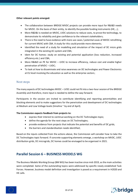#### **Other relevant points emerged:**

- The collaboration between BRIDGE MVDC projects can provide more input for R&I&D needs for MVDC. On the basis of their entity, to identify the possible funding instruments (HE,…);
- More R&D&I is needed on MVDC, LVDC solutions to reduce costs, to prove the technology, to demonstrate its reliability and give confidence to the relevant stakeholders;
- There is the need to have evidence with more use cases / potential cases of MVDC retrofitting for current MVAC with CBA. A study for this could provide more elements;
- Identified the need of a study for modelling and simulation of the impact of DC micro grids integrated in the existing AC system and CBA;
- Idem for DC homes: study on existing and potential application (loss reduction, increased efficiency etc.) and CBA;
- More R&I&D on PE for MVDC LVDC to increase efficiency, reduce cost and enable higher penetration of MVDC – LVDC;
- To look at how to disseminate and raise awareness on DC technologies and Power Electronics at EU level involving the education as well as the enterprise sectors;

#### <span id="page-15-0"></span>Next steps

The many aspects of DC technologies MVDC – LVDC could not fit into a two-hour session of the BRIDGE Assembly and therefore, more input is needed to define the way forward.

Participants in the session are invited to contribute identifying and reporting potentialities and blocking elements and to make suggestions for the penetration and development of DC technologies at Medium and Low Voltage levels (timeline ~ by end of April).

#### **The Commission expects feedback from projects to:**

- express their interest to continue working on the DC Technologies topic;
- define the agenda for the next steps on DC Technologies;
- provide evidence from projects that indicate the potential and benefits of DC grids;
- the barriers and standardisation needs identified;

Based on the inputs collected from the actions above, the Commission will consider how to take the DC Technologies topic forward. If concrete supporting elements emerge, a workshop on MVDC, LVDC distribution grids, DC microgrids, DC homes could be envisaged to be organised in 2021.

# <span id="page-15-1"></span>**Parallel Session 6 – BUSINESS MODELS WG**

The Business Models Working Group (BM WG) has been inactive since mid-2019, as the main activities were completed. Some of the outstanding topics were addressed by specific newly established Task Forces. However, business model definition and investigation is posed as a requirement in H2020 and HE calls.

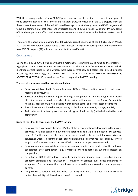With the growing number of new BRIDGE projects addressing the business-, economic- and general value-oriented aspects of the services and activities pursued, virtually all BRIDGE projects work on these issues. Reactivation of the BM WG could leverage on work already done in BRIDGE projects and focus on common BM challenges and synergies among BRIDGE projects. A strong BM WG could efficiently support their efforts and also serve to create additional value to the decision makers on all levels.

Therefore, the need of re-activating the BM WG was identified. Ahead of the BRIDGE GM in March 2021, the BM WG parallel session raised a high interest (75 registered participants), with many of the new BRIDGE projects (22) indicated the need for this specific WG.

#### <span id="page-16-0"></span>**Conclusions**

During the BRIDGE GM, it was clear that the moment to restart BM WG is right, as the presenters highlighted many sources of ideas for BM activities. In addition to TF "Future R&I Priorities" which identified several topics in the BM field, there were several new and established BRIDGE projects presenting their work (e.g., CROSSBOW, TRINITY, SYNERGY, COORDINET, MERLON, RENAISSANCE, ACCEPT, BRIGHT/BD4NRG), as well as the Discussion panel at BM WG meeting.

#### **The overall conclusion was that work is needed on:**

- Business models related to Demand Response (DR) and DR aggregation, as well as Local energy markets and prosumers;
- Services enabling and supporting sector integration (power to X, EV mobility), where special attention should be paid to market design with multi-energy vectors (power2x, mobility, heating & cooling), multi-value chains within a single sector and cross-sector integration;
- Flexibility remuneration schemes, focussing on Ancillary Services (AS), storage, and DR;
- Tariff schemes to attract prosumers and all types of self-supply (individual, collective, and community);

#### **Some of the ideas to focus on in the BM WG include:**

- Design of tools to evaluate the benefit/value of the services/solutions developed in the project activities, including design of new, more tailored tools to build BM is needed (BM canvass, radar…). For this purpose, the baseline scenarios need to be defined for comparison of services/solutions, since if the benefit of solutions and their alternatives (e.g. flexibility services vs. grid reinforcement) cannot be quantified, it cannot be properly remunerated;
- Design of cooperation models for sharing of common goods. These models should emphasize cooperation over competition (e.g., Synergetic BM that focus on synergies instead on competition);
- Definition of BM to also address social benefits beyond financial value, including sharing economy principles and servitisation – provision of services over direct ownership of equipment. For consumers, this could increase social welfare and cohesion, reducing energy poverty;
- Design of BM to better include data value chain integration and data monetization, where with better observability, additional social benefit is created;